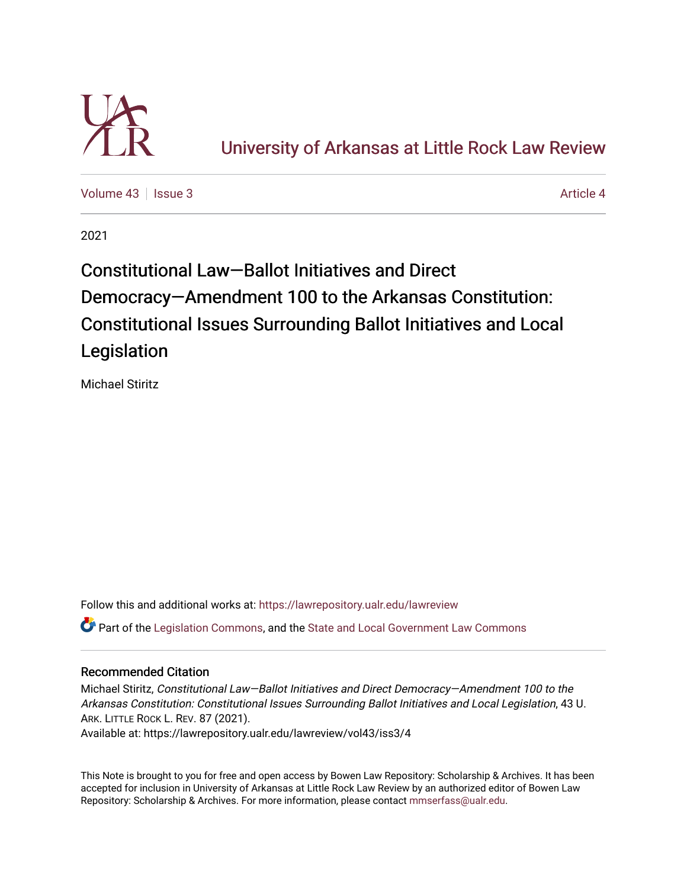

# [University of Arkansas at Little Rock Law Review](https://lawrepository.ualr.edu/lawreview)

[Volume 43](https://lawrepository.ualr.edu/lawreview/vol43) | [Issue 3](https://lawrepository.ualr.edu/lawreview/vol43/iss3) [Article 4](https://lawrepository.ualr.edu/lawreview/vol43/iss3/4) Article 4

2021

Constitutional Law—Ballot Initiatives and Direct Democracy—Amendment 100 to the Arkansas Constitution: Constitutional Issues Surrounding Ballot Initiatives and Local Legislation

Michael Stiritz

Follow this and additional works at: [https://lawrepository.ualr.edu/lawreview](https://lawrepository.ualr.edu/lawreview?utm_source=lawrepository.ualr.edu%2Flawreview%2Fvol43%2Fiss3%2F4&utm_medium=PDF&utm_campaign=PDFCoverPages) 

Part of the [Legislation Commons](https://network.bepress.com/hgg/discipline/859?utm_source=lawrepository.ualr.edu%2Flawreview%2Fvol43%2Fiss3%2F4&utm_medium=PDF&utm_campaign=PDFCoverPages), and the [State and Local Government Law Commons](https://network.bepress.com/hgg/discipline/879?utm_source=lawrepository.ualr.edu%2Flawreview%2Fvol43%2Fiss3%2F4&utm_medium=PDF&utm_campaign=PDFCoverPages) 

# Recommended Citation

Michael Stiritz, Constitutional Law—Ballot Initiatives and Direct Democracy—Amendment 100 to the Arkansas Constitution: Constitutional Issues Surrounding Ballot Initiatives and Local Legislation, 43 U. ARK. LITTLE ROCK L. REV. 87 (2021).

Available at: https://lawrepository.ualr.edu/lawreview/vol43/iss3/4

This Note is brought to you for free and open access by Bowen Law Repository: Scholarship & Archives. It has been accepted for inclusion in University of Arkansas at Little Rock Law Review by an authorized editor of Bowen Law Repository: Scholarship & Archives. For more information, please contact [mmserfass@ualr.edu](mailto:mmserfass@ualr.edu).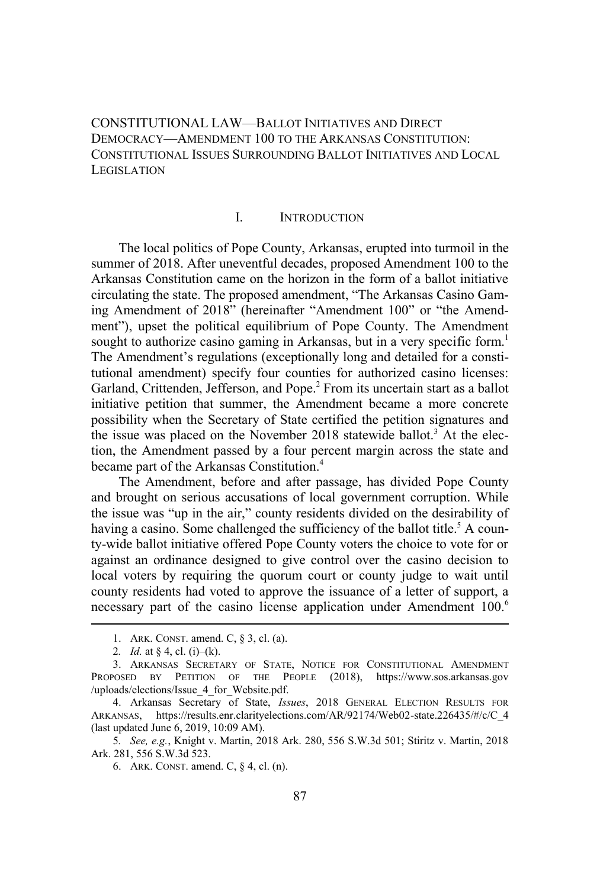CONSTITUTIONAL LAW—BALLOT INITIATIVES AND DIRECT DEMOCRACY—AMENDMENT 100 TO THE ARKANSAS CONSTITUTION: CONSTITUTIONAL ISSUES SURROUNDING BALLOT INITIATIVES AND LOCAL **LEGISLATION** 

## I. INTRODUCTION

The local politics of Pope County, Arkansas, erupted into turmoil in the summer of 2018. After uneventful decades, proposed Amendment 100 to the Arkansas Constitution came on the horizon in the form of a ballot initiative circulating the state. The proposed amendment, "The Arkansas Casino Gaming Amendment of 2018" (hereinafter "Amendment 100" or "the Amendment"), upset the political equilibrium of Pope County. The Amendment sought to authorize casino gaming in Arkansas, but in a very specific form.<sup>1</sup> The Amendment's regulations (exceptionally long and detailed for a constitutional amendment) specify four counties for authorized casino licenses: Garland, Crittenden, Jefferson, and Pope.<sup>2</sup> From its uncertain start as a ballot initiative petition that summer, the Amendment became a more concrete possibility when the Secretary of State certified the petition signatures and the issue was placed on the November 2018 statewide ballot.<sup>3</sup> At the election, the Amendment passed by a four percent margin across the state and became part of the Arkansas Constitution.<sup>4</sup>

The Amendment, before and after passage, has divided Pope County and brought on serious accusations of local government corruption. While the issue was "up in the air," county residents divided on the desirability of having a casino. Some challenged the sufficiency of the ballot title.<sup>5</sup> A county-wide ballot initiative offered Pope County voters the choice to vote for or against an ordinance designed to give control over the casino decision to local voters by requiring the quorum court or county judge to wait until county residents had voted to approve the issuance of a letter of support, a necessary part of the casino license application under Amendment 100.<sup>6</sup>

<sup>1.</sup> ARK. CONST. amend. C, § 3, cl. (a).

<sup>2</sup>*. Id.* at § 4, cl. (i)–(k).

<sup>3.</sup> ARKANSAS SECRETARY OF STATE, NOTICE FOR CONSTITUTIONAL AMENDMENT PROPOSED BY PETITION OF THE PEOPLE (2018), https://www.sos.arkansas.gov /uploads/elections/Issue 4 for Website.pdf.

<sup>4.</sup> Arkansas Secretary of State, *Issues*, 2018 GENERAL ELECTION RESULTS FOR ARKANSAS, https://results.enr.clarityelections.com/AR/92174/Web02-state.226435/#/c/C\_4 (last updated June 6, 2019, 10:09 AM).

<sup>5</sup>*. See, e.g.*, Knight v. Martin, 2018 Ark. 280, 556 S.W.3d 501; Stiritz v. Martin, 2018 Ark. 281, 556 S.W.3d 523.

<sup>6.</sup> ARK. CONST. amend. C, § 4, cl. (n).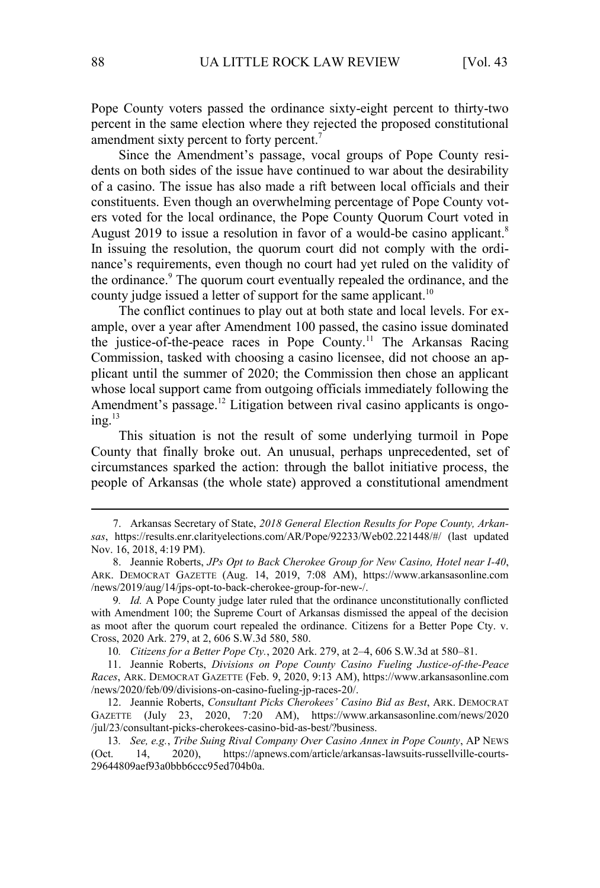Pope County voters passed the ordinance sixty-eight percent to thirty-two percent in the same election where they rejected the proposed constitutional amendment sixty percent to forty percent.<sup>7</sup>

Since the Amendment's passage, vocal groups of Pope County residents on both sides of the issue have continued to war about the desirability of a casino. The issue has also made a rift between local officials and their constituents. Even though an overwhelming percentage of Pope County voters voted for the local ordinance, the Pope County Quorum Court voted in August 2019 to issue a resolution in favor of a would-be casino applicant.<sup>8</sup> In issuing the resolution, the quorum court did not comply with the ordinance's requirements, even though no court had yet ruled on the validity of the ordinance.<sup>9</sup> The quorum court eventually repealed the ordinance, and the county judge issued a letter of support for the same applicant.<sup>10</sup>

The conflict continues to play out at both state and local levels. For example, over a year after Amendment 100 passed, the casino issue dominated the justice-of-the-peace races in Pope County.<sup>11</sup> The Arkansas Racing Commission, tasked with choosing a casino licensee, did not choose an applicant until the summer of 2020; the Commission then chose an applicant whose local support came from outgoing officials immediately following the Amendment's passage.<sup>12</sup> Litigation between rival casino applicants is ongo $ing.<sup>13</sup>$ 

This situation is not the result of some underlying turmoil in Pope County that finally broke out. An unusual, perhaps unprecedented, set of circumstances sparked the action: through the ballot initiative process, the people of Arkansas (the whole state) approved a constitutional amendment

10*. Citizens for a Better Pope Cty.*, 2020 Ark. 279, at 2–4, 606 S.W.3d at 580–81.

<sup>7.</sup> Arkansas Secretary of State, *2018 General Election Results for Pope County, Arkansas*, https://results.enr.clarityelections.com/AR/Pope/92233/Web02.221448/#/ (last updated Nov. 16, 2018, 4:19 PM).

<sup>8.</sup> Jeannie Roberts, *JPs Opt to Back Cherokee Group for New Casino, Hotel near I-40*, ARK. DEMOCRAT GAZETTE (Aug. 14, 2019, 7:08 AM), https://www.arkansasonline.com /news/2019/aug/14/jps-opt-to-back-cherokee-group-for-new-/.

<sup>9</sup>*. Id.* A Pope County judge later ruled that the ordinance unconstitutionally conflicted with Amendment 100; the Supreme Court of Arkansas dismissed the appeal of the decision as moot after the quorum court repealed the ordinance. Citizens for a Better Pope Cty. v. Cross, 2020 Ark. 279, at 2, 606 S.W.3d 580, 580.

<sup>11.</sup> Jeannie Roberts, *Divisions on Pope County Casino Fueling Justice-of-the-Peace Races*, ARK. DEMOCRAT GAZETTE (Feb. 9, 2020, 9:13 AM), https://www.arkansasonline.com /news/2020/feb/09/divisions-on-casino-fueling-jp-races-20/.

<sup>12.</sup> Jeannie Roberts, *Consultant Picks Cherokees' Casino Bid as Best*, ARK. DEMOCRAT GAZETTE (July 23, 2020, 7:20 AM), https://www.arkansasonline.com/news/2020 /jul/23/consultant-picks-cherokees-casino-bid-as-best/?business.

<sup>13</sup>*. See, e.g.*, *Tribe Suing Rival Company Over Casino Annex in Pope County*, AP NEWS (Oct. 14, 2020), https://apnews.com/article/arkansas-lawsuits-russellville-courts-29644809aef93a0bbb6ccc95ed704b0a.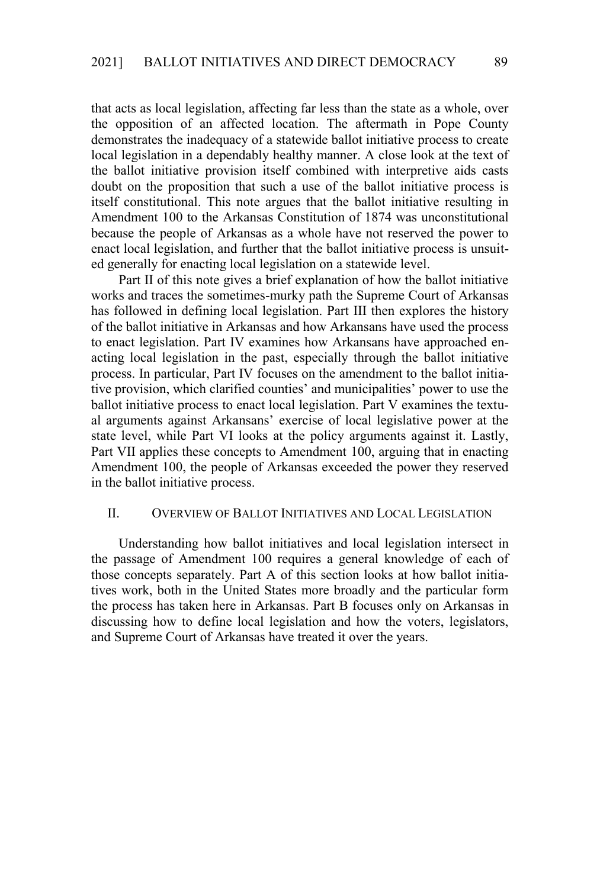that acts as local legislation, affecting far less than the state as a whole, over the opposition of an affected location. The aftermath in Pope County demonstrates the inadequacy of a statewide ballot initiative process to create local legislation in a dependably healthy manner. A close look at the text of the ballot initiative provision itself combined with interpretive aids casts doubt on the proposition that such a use of the ballot initiative process is itself constitutional. This note argues that the ballot initiative resulting in Amendment 100 to the Arkansas Constitution of 1874 was unconstitutional because the people of Arkansas as a whole have not reserved the power to enact local legislation, and further that the ballot initiative process is unsuited generally for enacting local legislation on a statewide level.

Part II of this note gives a brief explanation of how the ballot initiative works and traces the sometimes-murky path the Supreme Court of Arkansas has followed in defining local legislation. Part III then explores the history of the ballot initiative in Arkansas and how Arkansans have used the process to enact legislation. Part IV examines how Arkansans have approached enacting local legislation in the past, especially through the ballot initiative process. In particular, Part IV focuses on the amendment to the ballot initiative provision, which clarified counties' and municipalities' power to use the ballot initiative process to enact local legislation. Part V examines the textual arguments against Arkansans' exercise of local legislative power at the state level, while Part VI looks at the policy arguments against it. Lastly, Part VII applies these concepts to Amendment 100, arguing that in enacting Amendment 100, the people of Arkansas exceeded the power they reserved in the ballot initiative process.

#### II. OVERVIEW OF BALLOT INITIATIVES AND LOCAL LEGISLATION

Understanding how ballot initiatives and local legislation intersect in the passage of Amendment 100 requires a general knowledge of each of those concepts separately. Part A of this section looks at how ballot initiatives work, both in the United States more broadly and the particular form the process has taken here in Arkansas. Part B focuses only on Arkansas in discussing how to define local legislation and how the voters, legislators, and Supreme Court of Arkansas have treated it over the years.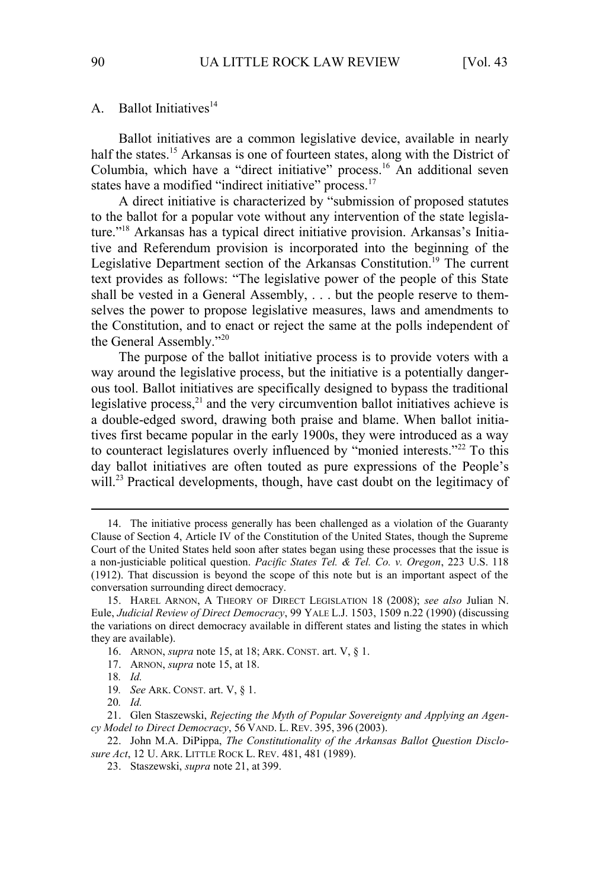## A. Ballot Initiatives $14$

Ballot initiatives are a common legislative device, available in nearly half the states.<sup>15</sup> Arkansas is one of fourteen states, along with the District of Columbia, which have a "direct initiative" process.<sup>16</sup> An additional seven states have a modified "indirect initiative" process.<sup>17</sup>

A direct initiative is characterized by "submission of proposed statutes to the ballot for a popular vote without any intervention of the state legislature."<sup>18</sup> Arkansas has a typical direct initiative provision. Arkansas's Initiative and Referendum provision is incorporated into the beginning of the Legislative Department section of the Arkansas Constitution.<sup>19</sup> The current text provides as follows: "The legislative power of the people of this State shall be vested in a General Assembly, . . . but the people reserve to themselves the power to propose legislative measures, laws and amendments to the Constitution, and to enact or reject the same at the polls independent of the General Assembly."<sup>20</sup>

The purpose of the ballot initiative process is to provide voters with a way around the legislative process, but the initiative is a potentially dangerous tool. Ballot initiatives are specifically designed to bypass the traditional legislative process, $21$  and the very circumvention ballot initiatives achieve is a double-edged sword, drawing both praise and blame. When ballot initiatives first became popular in the early 1900s, they were introduced as a way to counteract legislatures overly influenced by "monied interests."<sup>22</sup> To this day ballot initiatives are often touted as pure expressions of the People's will.<sup>23</sup> Practical developments, though, have cast doubt on the legitimacy of

- 16. ARNON, *supra* note 15, at 18; ARK. CONST. art. V, § 1.
- 17. ARNON, *supra* note 15, at 18.
- 18*. Id.*
- 19*. See* ARK. CONST. art. V, § 1.
- 20*. Id.*

<sup>14.</sup> The initiative process generally has been challenged as a violation of the Guaranty Clause of Section 4, Article IV of the Constitution of the United States, though the Supreme Court of the United States held soon after states began using these processes that the issue is a non-justiciable political question. *Pacific States Tel. & Tel. Co. v. Oregon*, 223 U.S. 118 (1912). That discussion is beyond the scope of this note but is an important aspect of the conversation surrounding direct democracy.

<sup>15.</sup> HAREL ARNON, A THEORY OF DIRECT LEGISLATION 18 (2008); *see also* Julian N. Eule, *Judicial Review of Direct Democracy*, 99 YALE L.J. 1503, 1509 n.22 (1990) (discussing the variations on direct democracy available in different states and listing the states in which they are available).

<sup>21.</sup> Glen Staszewski, *Rejecting the Myth of Popular Sovereignty and Applying an Agency Model to Direct Democracy*, 56 VAND. L. REV. 395, 396 (2003).

<sup>22.</sup> John M.A. DiPippa, *The Constitutionality of the Arkansas Ballot Question Disclosure Act*, 12 U. ARK. LITTLE ROCK L. REV. 481, 481 (1989).

<sup>23.</sup> Staszewski, *supra* note 21, at 399.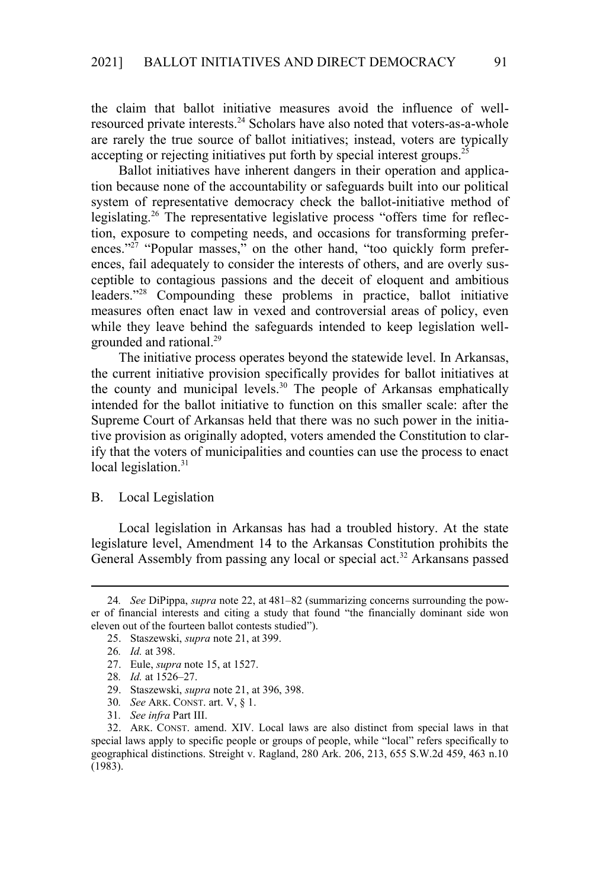the claim that ballot initiative measures avoid the influence of wellresourced private interests.<sup>24</sup> Scholars have also noted that voters-as-a-whole are rarely the true source of ballot initiatives; instead, voters are typically accepting or rejecting initiatives put forth by special interest groups.<sup>25</sup>

Ballot initiatives have inherent dangers in their operation and application because none of the accountability or safeguards built into our political system of representative democracy check the ballot-initiative method of legislating.<sup>26</sup> The representative legislative process "offers time for reflection, exposure to competing needs, and occasions for transforming preferences."<sup>27</sup> "Popular masses," on the other hand, "too quickly form preferences, fail adequately to consider the interests of others, and are overly susceptible to contagious passions and the deceit of eloquent and ambitious leaders."<sup>28</sup> Compounding these problems in practice, ballot initiative measures often enact law in vexed and controversial areas of policy, even while they leave behind the safeguards intended to keep legislation wellgrounded and rational.<sup>29</sup>

The initiative process operates beyond the statewide level. In Arkansas, the current initiative provision specifically provides for ballot initiatives at the county and municipal levels.<sup>30</sup> The people of Arkansas emphatically intended for the ballot initiative to function on this smaller scale: after the Supreme Court of Arkansas held that there was no such power in the initiative provision as originally adopted, voters amended the Constitution to clarify that the voters of municipalities and counties can use the process to enact local legislation.<sup>31</sup>

## B. Local Legislation

Local legislation in Arkansas has had a troubled history. At the state legislature level, Amendment 14 to the Arkansas Constitution prohibits the General Assembly from passing any local or special act.<sup>32</sup> Arkansans passed

<sup>24</sup>*. See* DiPippa, *supra* note 22, at 481–82 (summarizing concerns surrounding the power of financial interests and citing a study that found "the financially dominant side won eleven out of the fourteen ballot contests studied").

<sup>25.</sup> Staszewski, *supra* note 21, at 399.

<sup>26</sup>*. Id.* at 398.

<sup>27.</sup> Eule, *supra* note 15, at 1527.

<sup>28</sup>*. Id.* at 1526–27.

<sup>29.</sup> Staszewski, *supra* note 21, at 396, 398.

<sup>30</sup>*. See* ARK. CONST. art. V, § 1.

<sup>31</sup>*. See infra* Part III.

<sup>32.</sup> ARK. CONST. amend. XIV. Local laws are also distinct from special laws in that special laws apply to specific people or groups of people, while "local" refers specifically to geographical distinctions. Streight v. Ragland, 280 Ark. 206, 213, 655 S.W.2d 459, 463 n.10 (1983).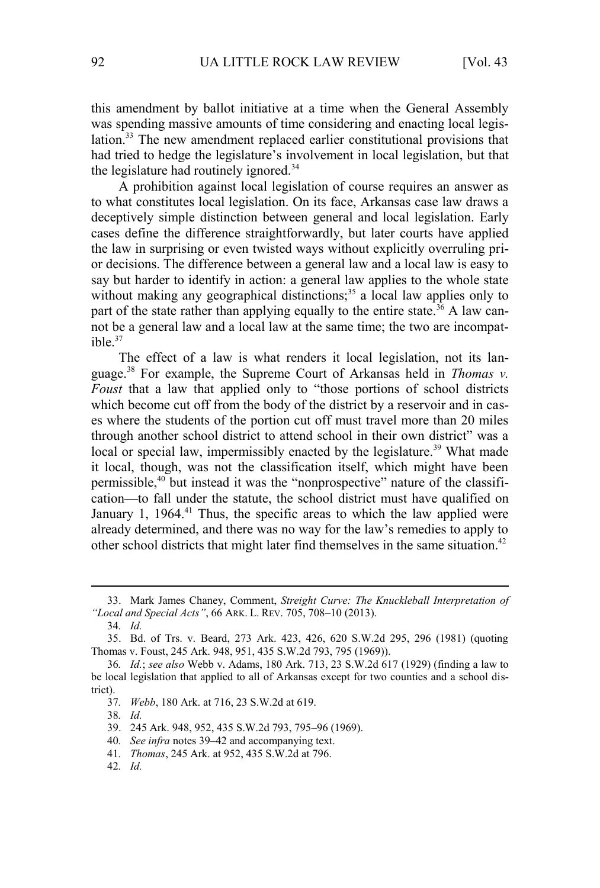this amendment by ballot initiative at a time when the General Assembly was spending massive amounts of time considering and enacting local legislation.<sup>33</sup> The new amendment replaced earlier constitutional provisions that had tried to hedge the legislature's involvement in local legislation, but that the legislature had routinely ignored. $34$ 

A prohibition against local legislation of course requires an answer as to what constitutes local legislation. On its face, Arkansas case law draws a deceptively simple distinction between general and local legislation. Early cases define the difference straightforwardly, but later courts have applied the law in surprising or even twisted ways without explicitly overruling prior decisions. The difference between a general law and a local law is easy to say but harder to identify in action: a general law applies to the whole state without making any geographical distinctions;<sup>35</sup> a local law applies only to part of the state rather than applying equally to the entire state.<sup>36</sup> A law cannot be a general law and a local law at the same time; the two are incompatible  $37$ 

The effect of a law is what renders it local legislation, not its language.<sup>38</sup> For example, the Supreme Court of Arkansas held in *Thomas v. Foust* that a law that applied only to "those portions of school districts which become cut off from the body of the district by a reservoir and in cases where the students of the portion cut off must travel more than 20 miles through another school district to attend school in their own district" was a local or special law, impermissibly enacted by the legislature.<sup>39</sup> What made it local, though, was not the classification itself, which might have been permissible,<sup>40</sup> but instead it was the "nonprospective" nature of the classification—to fall under the statute, the school district must have qualified on January 1,  $1964<sup>41</sup>$  Thus, the specific areas to which the law applied were already determined, and there was no way for the law's remedies to apply to other school districts that might later find themselves in the same situation.<sup>42</sup>

<sup>33.</sup> Mark James Chaney, Comment, *Streight Curve: The Knuckleball Interpretation of "Local and Special Acts"*, 66 ARK. L. REV. 705, 708–10 (2013).

<sup>34</sup>*. Id.* 

<sup>35.</sup> Bd. of Trs. v. Beard, 273 Ark. 423, 426, 620 S.W.2d 295, 296 (1981) (quoting Thomas v. Foust, 245 Ark. 948, 951, 435 S.W.2d 793, 795 (1969)).

<sup>36</sup>*. Id.*; *see also* Webb v. Adams, 180 Ark. 713, 23 S.W.2d 617 (1929) (finding a law to be local legislation that applied to all of Arkansas except for two counties and a school district).

<sup>37</sup>*. Webb*, 180 Ark. at 716, 23 S.W.2d at 619.

<sup>38</sup>*. Id.* 

<sup>39. 245</sup> Ark. 948, 952, 435 S.W.2d 793, 795–96 (1969).

<sup>40</sup>*. See infra* notes 39–42 and accompanying text.

<sup>41</sup>*. Thomas*, 245 Ark. at 952, 435 S.W.2d at 796.

<sup>42</sup>*. Id.*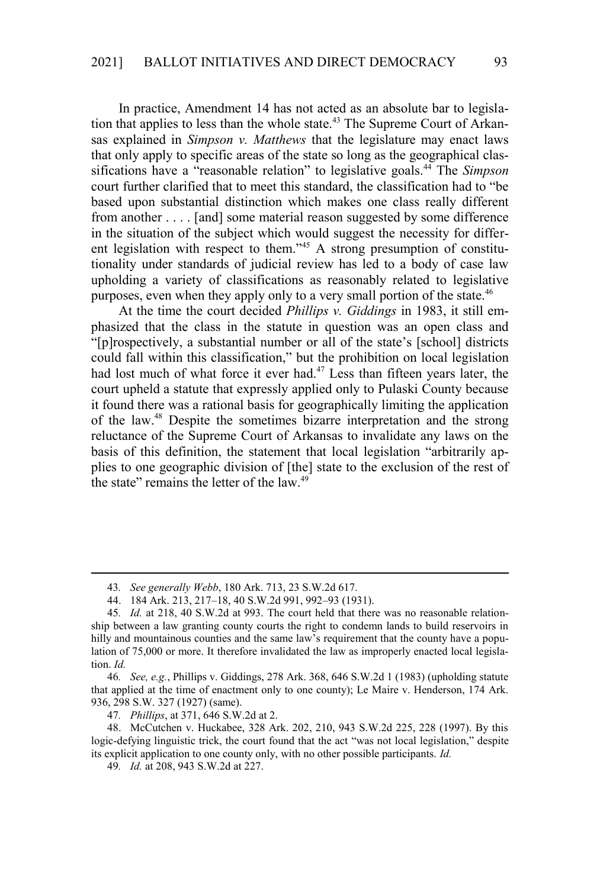In practice, Amendment 14 has not acted as an absolute bar to legislation that applies to less than the whole state.<sup>43</sup> The Supreme Court of Arkansas explained in *Simpson v. Matthews* that the legislature may enact laws that only apply to specific areas of the state so long as the geographical classifications have a "reasonable relation" to legislative goals.<sup>44</sup> The *Simpson* court further clarified that to meet this standard, the classification had to "be based upon substantial distinction which makes one class really different from another . . . . [and] some material reason suggested by some difference in the situation of the subject which would suggest the necessity for different legislation with respect to them."45 A strong presumption of constitutionality under standards of judicial review has led to a body of case law upholding a variety of classifications as reasonably related to legislative purposes, even when they apply only to a very small portion of the state.<sup>46</sup>

At the time the court decided *Phillips v. Giddings* in 1983, it still emphasized that the class in the statute in question was an open class and "[p]rospectively, a substantial number or all of the state's [school] districts could fall within this classification," but the prohibition on local legislation had lost much of what force it ever had.<sup>47</sup> Less than fifteen years later, the court upheld a statute that expressly applied only to Pulaski County because it found there was a rational basis for geographically limiting the application of the law.<sup>48</sup> Despite the sometimes bizarre interpretation and the strong reluctance of the Supreme Court of Arkansas to invalidate any laws on the basis of this definition, the statement that local legislation "arbitrarily applies to one geographic division of [the] state to the exclusion of the rest of the state" remains the letter of the law.<sup>49</sup>

47*. Phillips*, at 371, 646 S.W.2d at 2.

48. McCutchen v. Huckabee, 328 Ark. 202, 210, 943 S.W.2d 225, 228 (1997). By this logic-defying linguistic trick, the court found that the act "was not local legislation," despite its explicit application to one county only, with no other possible participants. *Id.* 

49*. Id.* at 208, 943 S.W.2d at 227.

<sup>43</sup>*. See generally Webb*, 180 Ark. 713, 23 S.W.2d 617*.* 

<sup>44. 184</sup> Ark. 213, 217–18, 40 S.W.2d 991, 992–93 (1931).

<sup>45</sup>*. Id.* at 218, 40 S.W.2d at 993. The court held that there was no reasonable relationship between a law granting county courts the right to condemn lands to build reservoirs in hilly and mountainous counties and the same law's requirement that the county have a population of 75,000 or more. It therefore invalidated the law as improperly enacted local legislation. *Id.*

<sup>46</sup>*. See, e.g.*, Phillips v. Giddings, 278 Ark. 368, 646 S.W.2d 1 (1983) (upholding statute that applied at the time of enactment only to one county); Le Maire v. Henderson, 174 Ark. 936, 298 S.W. 327 (1927) (same).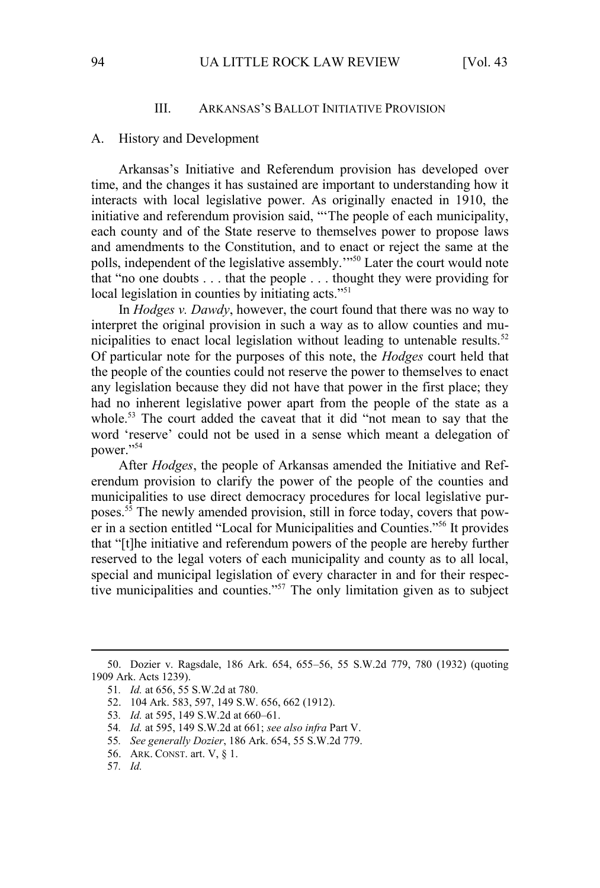## III. ARKANSAS'S BALLOT INITIATIVE PROVISION

#### A. History and Development

Arkansas's Initiative and Referendum provision has developed over time, and the changes it has sustained are important to understanding how it interacts with local legislative power. As originally enacted in 1910, the initiative and referendum provision said, "'The people of each municipality, each county and of the State reserve to themselves power to propose laws and amendments to the Constitution, and to enact or reject the same at the polls, independent of the legislative assembly.'"<sup>50</sup> Later the court would note that "no one doubts . . . that the people . . . thought they were providing for local legislation in counties by initiating acts."<sup>51</sup>

In *Hodges v. Dawdy*, however, the court found that there was no way to interpret the original provision in such a way as to allow counties and municipalities to enact local legislation without leading to untenable results. $52$ Of particular note for the purposes of this note, the *Hodges* court held that the people of the counties could not reserve the power to themselves to enact any legislation because they did not have that power in the first place; they had no inherent legislative power apart from the people of the state as a whole.<sup>53</sup> The court added the caveat that it did "not mean to say that the word 'reserve' could not be used in a sense which meant a delegation of power."54

After *Hodges*, the people of Arkansas amended the Initiative and Referendum provision to clarify the power of the people of the counties and municipalities to use direct democracy procedures for local legislative purposes.55 The newly amended provision, still in force today, covers that power in a section entitled "Local for Municipalities and Counties."<sup>56</sup> It provides that "[t]he initiative and referendum powers of the people are hereby further reserved to the legal voters of each municipality and county as to all local, special and municipal legislation of every character in and for their respective municipalities and counties."<sup>57</sup> The only limitation given as to subject

- 52. 104 Ark. 583, 597, 149 S.W. 656, 662 (1912).
- 53*. Id.* at 595, 149 S.W.2d at 660–61.
- 54*. Id.* at 595, 149 S.W.2d at 661; *see also infra* Part V.
- 55*. See generally Dozier*, 186 Ark. 654, 55 S.W.2d 779.
- 56. ARK. CONST. art. V, § 1.
- 57*. Id.*

<sup>50.</sup> Dozier v. Ragsdale, 186 Ark. 654, 655–56, 55 S.W.2d 779, 780 (1932) (quoting 1909 Ark. Acts 1239).

<sup>51</sup>*. Id.* at 656, 55 S.W.2d at 780.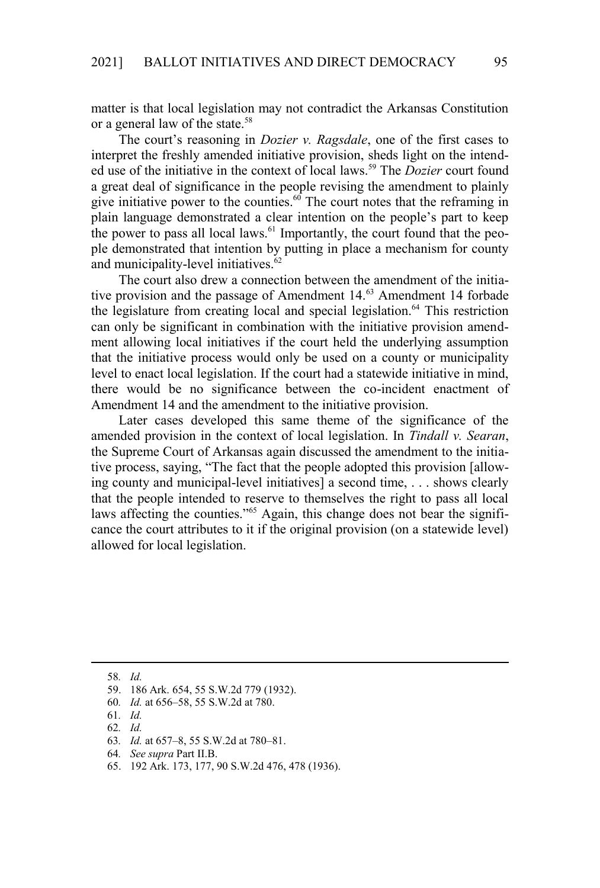matter is that local legislation may not contradict the Arkansas Constitution or a general law of the state.<sup>58</sup>

The court's reasoning in *Dozier v. Ragsdale*, one of the first cases to interpret the freshly amended initiative provision, sheds light on the intended use of the initiative in the context of local laws.<sup>59</sup> The *Dozier* court found a great deal of significance in the people revising the amendment to plainly give initiative power to the counties. $60$  The court notes that the reframing in plain language demonstrated a clear intention on the people's part to keep the power to pass all local laws.<sup>61</sup> Importantly, the court found that the people demonstrated that intention by putting in place a mechanism for county and municipality-level initiatives.<sup>62</sup>

The court also drew a connection between the amendment of the initiative provision and the passage of Amendment 14.<sup>63</sup> Amendment 14 forbade the legislature from creating local and special legislation.<sup>64</sup> This restriction can only be significant in combination with the initiative provision amendment allowing local initiatives if the court held the underlying assumption that the initiative process would only be used on a county or municipality level to enact local legislation. If the court had a statewide initiative in mind, there would be no significance between the co-incident enactment of Amendment 14 and the amendment to the initiative provision.

Later cases developed this same theme of the significance of the amended provision in the context of local legislation. In *Tindall v. Searan*, the Supreme Court of Arkansas again discussed the amendment to the initiative process, saying, "The fact that the people adopted this provision [allowing county and municipal-level initiatives] a second time, . . . shows clearly that the people intended to reserve to themselves the right to pass all local laws affecting the counties."65 Again, this change does not bear the significance the court attributes to it if the original provision (on a statewide level) allowed for local legislation.

<sup>58</sup>*. Id.* 

<sup>59. 186</sup> Ark. 654, 55 S.W.2d 779 (1932).

<sup>60</sup>*. Id.* at 656–58, 55 S.W.2d at 780.

<sup>61</sup>*. Id.* 

<sup>62</sup>*. Id.* 

<sup>63</sup>*. Id.* at 657–8, 55 S.W.2d at 780–81.

<sup>64</sup>*. See supra* Part II.B.

<sup>65. 192</sup> Ark. 173, 177, 90 S.W.2d 476, 478 (1936).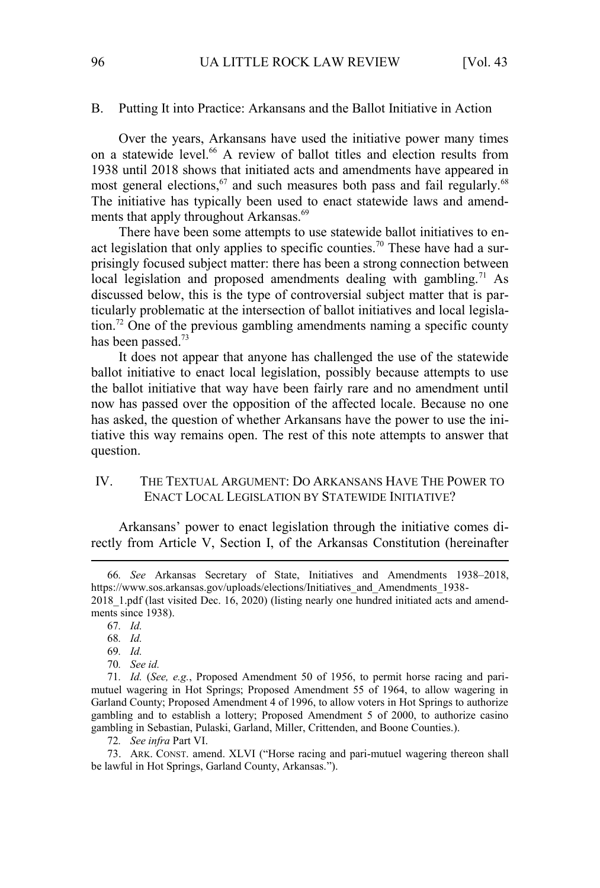### B. Putting It into Practice: Arkansans and the Ballot Initiative in Action

Over the years, Arkansans have used the initiative power many times on a statewide level.<sup>66</sup> A review of ballot titles and election results from 1938 until 2018 shows that initiated acts and amendments have appeared in most general elections,  $67$  and such measures both pass and fail regularly.<sup>68</sup> The initiative has typically been used to enact statewide laws and amendments that apply throughout Arkansas.<sup>69</sup>

There have been some attempts to use statewide ballot initiatives to enact legislation that only applies to specific counties.<sup>70</sup> These have had a surprisingly focused subject matter: there has been a strong connection between local legislation and proposed amendments dealing with gambling.<sup>71</sup> As discussed below, this is the type of controversial subject matter that is particularly problematic at the intersection of ballot initiatives and local legislation.<sup>72</sup> One of the previous gambling amendments naming a specific county has been passed.<sup>73</sup>

It does not appear that anyone has challenged the use of the statewide ballot initiative to enact local legislation, possibly because attempts to use the ballot initiative that way have been fairly rare and no amendment until now has passed over the opposition of the affected locale. Because no one has asked, the question of whether Arkansans have the power to use the initiative this way remains open. The rest of this note attempts to answer that question.

## IV. THE TEXTUAL ARGUMENT: DO ARKANSANS HAVE THE POWER TO ENACT LOCAL LEGISLATION BY STATEWIDE INITIATIVE?

Arkansans' power to enact legislation through the initiative comes directly from Article V, Section I, of the Arkansas Constitution (hereinafter

72*. See infra* Part VI.

73. ARK. CONST. amend. XLVI ("Horse racing and pari-mutuel wagering thereon shall be lawful in Hot Springs, Garland County, Arkansas.").

<sup>66</sup>*. See* Arkansas Secretary of State, Initiatives and Amendments 1938–2018, https://www.sos.arkansas.gov/uploads/elections/Initiatives\_and\_Amendments\_1938-2018 1.pdf (last visited Dec. 16, 2020) (listing nearly one hundred initiated acts and amendments since 1938).

<sup>67</sup>*. Id.*

<sup>68</sup>*. Id.*

<sup>69</sup>*. Id.*

<sup>70</sup>*. See id.* 

<sup>71</sup>*. Id.* (*See, e.g.*, Proposed Amendment 50 of 1956, to permit horse racing and parimutuel wagering in Hot Springs; Proposed Amendment 55 of 1964, to allow wagering in Garland County; Proposed Amendment 4 of 1996, to allow voters in Hot Springs to authorize gambling and to establish a lottery; Proposed Amendment 5 of 2000, to authorize casino gambling in Sebastian, Pulaski, Garland, Miller, Crittenden, and Boone Counties.).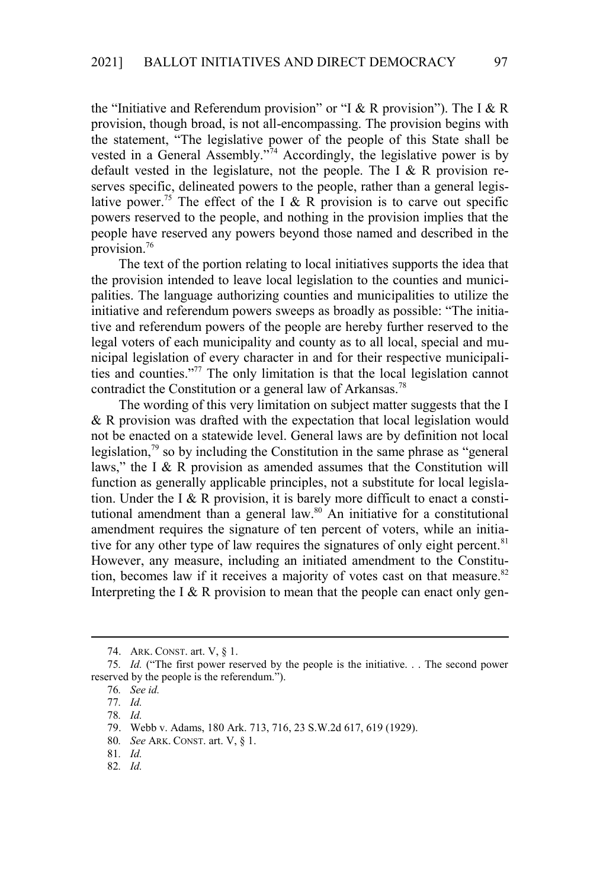the "Initiative and Referendum provision" or "I & R provision"). The I & R provision, though broad, is not all-encompassing. The provision begins with the statement, "The legislative power of the people of this State shall be vested in a General Assembly.<sup> $\tilde{v}^{74}$ </sup> Accordingly, the legislative power is by default vested in the legislature, not the people. The I  $&R$  provision reserves specific, delineated powers to the people, rather than a general legislative power.<sup>75</sup> The effect of the I & R provision is to carve out specific powers reserved to the people, and nothing in the provision implies that the people have reserved any powers beyond those named and described in the provision.<sup>76</sup>

The text of the portion relating to local initiatives supports the idea that the provision intended to leave local legislation to the counties and municipalities. The language authorizing counties and municipalities to utilize the initiative and referendum powers sweeps as broadly as possible: "The initiative and referendum powers of the people are hereby further reserved to the legal voters of each municipality and county as to all local, special and municipal legislation of every character in and for their respective municipalities and counties."<sup>77</sup> The only limitation is that the local legislation cannot contradict the Constitution or a general law of Arkansas.<sup>78</sup>

The wording of this very limitation on subject matter suggests that the I & R provision was drafted with the expectation that local legislation would not be enacted on a statewide level. General laws are by definition not local legislation, $79$  so by including the Constitution in the same phrase as "general laws," the I & R provision as amended assumes that the Constitution will function as generally applicable principles, not a substitute for local legislation. Under the I & R provision, it is barely more difficult to enact a constitutional amendment than a general law.<sup>80</sup> An initiative for a constitutional amendment requires the signature of ten percent of voters, while an initiative for any other type of law requires the signatures of only eight percent.<sup>81</sup> However, any measure, including an initiated amendment to the Constitution, becomes law if it receives a majority of votes cast on that measure.<sup>82</sup> Interpreting the I  $&$  R provision to mean that the people can enact only gen-

<sup>74.</sup> ARK. CONST. art. V, § 1.

<sup>75</sup>*. Id.* ("The first power reserved by the people is the initiative. . . The second power reserved by the people is the referendum.").

<sup>76</sup>*. See id.* 

<sup>77</sup>*. Id.* 

<sup>78</sup>*. Id.* 

<sup>79.</sup> Webb v. Adams, 180 Ark. 713, 716, 23 S.W.2d 617, 619 (1929).

<sup>80</sup>*. See* ARK. CONST. art. V, § 1.

<sup>81</sup>*. Id.* 

<sup>82</sup>*. Id.*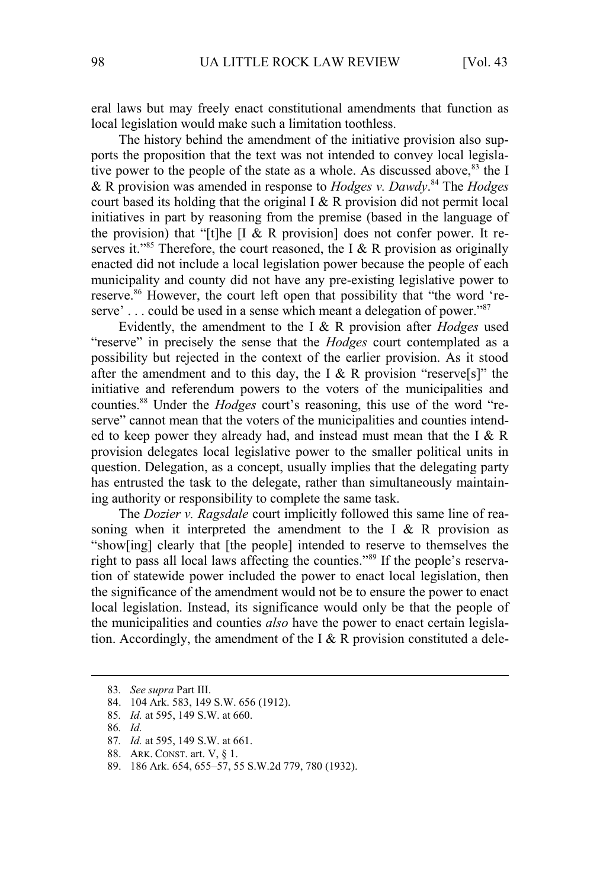eral laws but may freely enact constitutional amendments that function as local legislation would make such a limitation toothless.

The history behind the amendment of the initiative provision also supports the proposition that the text was not intended to convey local legislative power to the people of the state as a whole. As discussed above,  $83$  the I & R provision was amended in response to *Hodges v. Dawdy*. <sup>84</sup> The *Hodges* court based its holding that the original I & R provision did not permit local initiatives in part by reasoning from the premise (based in the language of the provision) that "[t]he  $[I & R$  provision] does not confer power. It reserves it."<sup>85</sup> Therefore, the court reasoned, the I & R provision as originally enacted did not include a local legislation power because the people of each municipality and county did not have any pre-existing legislative power to reserve.<sup>86</sup> However, the court left open that possibility that "the word 'reserve' . . . could be used in a sense which meant a delegation of power."<sup>87</sup>

Evidently, the amendment to the I & R provision after *Hodges* used "reserve" in precisely the sense that the *Hodges* court contemplated as a possibility but rejected in the context of the earlier provision. As it stood after the amendment and to this day, the I & R provision "reserve[s]" the initiative and referendum powers to the voters of the municipalities and counties.<sup>88</sup> Under the *Hodges* court's reasoning, this use of the word "reserve" cannot mean that the voters of the municipalities and counties intended to keep power they already had, and instead must mean that the I & R provision delegates local legislative power to the smaller political units in question. Delegation, as a concept, usually implies that the delegating party has entrusted the task to the delegate, rather than simultaneously maintaining authority or responsibility to complete the same task.

The *Dozier v. Ragsdale* court implicitly followed this same line of reasoning when it interpreted the amendment to the I  $&$  R provision as "show[ing] clearly that [the people] intended to reserve to themselves the right to pass all local laws affecting the counties."<sup>89</sup> If the people's reservation of statewide power included the power to enact local legislation, then the significance of the amendment would not be to ensure the power to enact local legislation. Instead, its significance would only be that the people of the municipalities and counties *also* have the power to enact certain legislation. Accordingly, the amendment of the I &  $\hat{R}$  provision constituted a dele-

85*. Id.* at 595, 149 S.W. at 660.

<sup>83</sup>*. See supra* Part III.

<sup>84. 104</sup> Ark. 583, 149 S.W. 656 (1912).

<sup>86</sup>*. Id.* 

<sup>87</sup>*. Id.* at 595, 149 S.W. at 661.

<sup>88.</sup> ARK. CONST. art. V, § 1.

<sup>89. 186</sup> Ark. 654, 655–57, 55 S.W.2d 779, 780 (1932).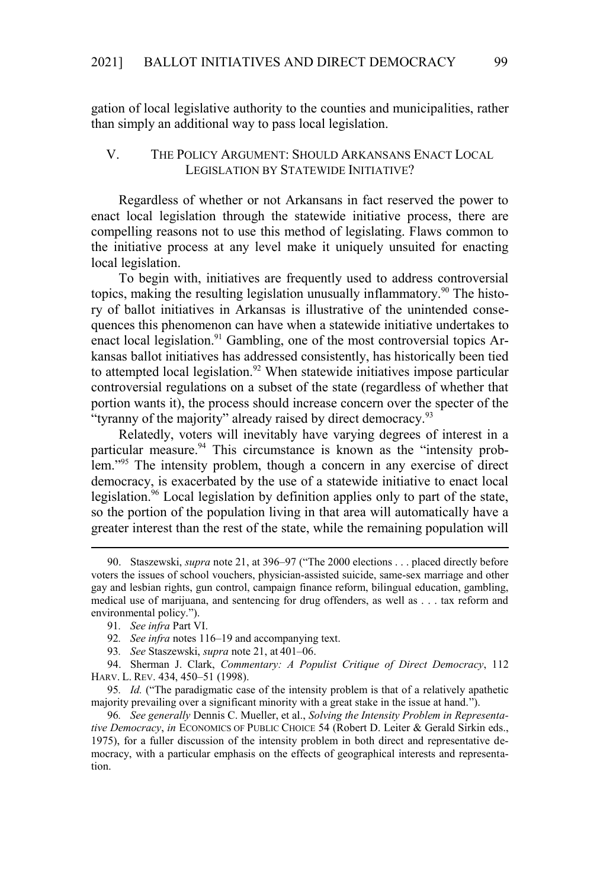gation of local legislative authority to the counties and municipalities, rather than simply an additional way to pass local legislation.

## V. THE POLICY ARGUMENT: SHOULD ARKANSANS ENACT LOCAL LEGISLATION BY STATEWIDE INITIATIVE?

Regardless of whether or not Arkansans in fact reserved the power to enact local legislation through the statewide initiative process, there are compelling reasons not to use this method of legislating. Flaws common to the initiative process at any level make it uniquely unsuited for enacting local legislation.

To begin with, initiatives are frequently used to address controversial topics, making the resulting legislation unusually inflammatory.<sup>90</sup> The history of ballot initiatives in Arkansas is illustrative of the unintended consequences this phenomenon can have when a statewide initiative undertakes to enact local legislation.<sup>91</sup> Gambling, one of the most controversial topics Arkansas ballot initiatives has addressed consistently, has historically been tied to attempted local legislation.<sup>92</sup> When statewide initiatives impose particular controversial regulations on a subset of the state (regardless of whether that portion wants it), the process should increase concern over the specter of the "tyranny of the majority" already raised by direct democracy.<sup>93</sup>

Relatedly, voters will inevitably have varying degrees of interest in a particular measure.<sup>94</sup> This circumstance is known as the "intensity problem."<sup>95</sup> The intensity problem, though a concern in any exercise of direct democracy, is exacerbated by the use of a statewide initiative to enact local legislation.<sup>96</sup> Local legislation by definition applies only to part of the state, so the portion of the population living in that area will automatically have a greater interest than the rest of the state, while the remaining population will

<sup>90.</sup> Staszewski, *supra* note 21, at 396–97 ("The 2000 elections . . . placed directly before voters the issues of school vouchers, physician-assisted suicide, same-sex marriage and other gay and lesbian rights, gun control, campaign finance reform, bilingual education, gambling, medical use of marijuana, and sentencing for drug offenders, as well as . . . tax reform and environmental policy.").

<sup>91</sup>*. See infra* Part VI.

<sup>92</sup>*. See infra* notes 116–19 and accompanying text.

<sup>93</sup>*. See* Staszewski, *supra* note 21, at 401–06.

<sup>94.</sup> Sherman J. Clark, *Commentary: A Populist Critique of Direct Democracy*, 112 HARV. L. REV. 434, 450–51 (1998).

<sup>95</sup>*. Id.* ("The paradigmatic case of the intensity problem is that of a relatively apathetic majority prevailing over a significant minority with a great stake in the issue at hand.").

<sup>96</sup>*. See generally* Dennis C. Mueller, et al., *Solving the Intensity Problem in Representative Democracy*, *in* ECONOMICS OF PUBLIC CHOICE 54 (Robert D. Leiter & Gerald Sirkin eds., 1975), for a fuller discussion of the intensity problem in both direct and representative democracy, with a particular emphasis on the effects of geographical interests and representation.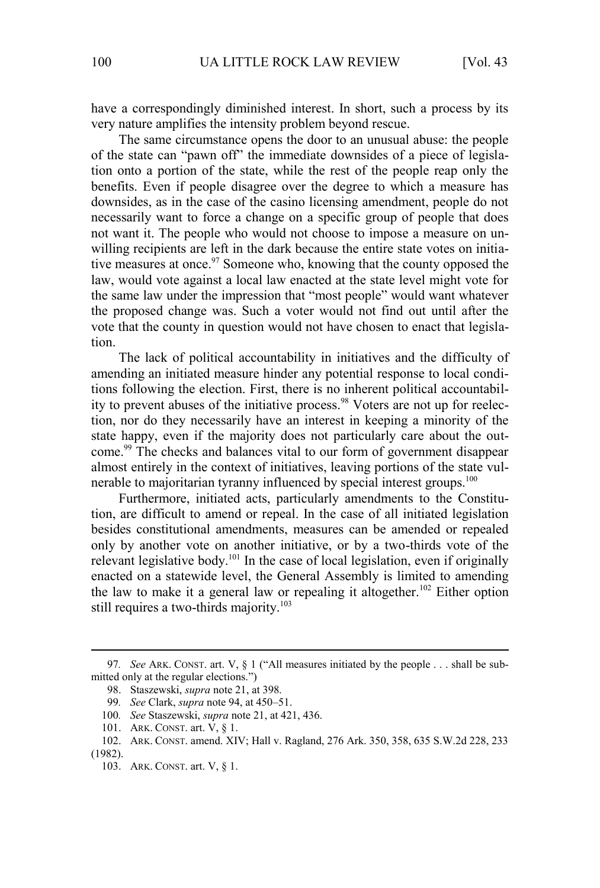have a correspondingly diminished interest. In short, such a process by its very nature amplifies the intensity problem beyond rescue.

The same circumstance opens the door to an unusual abuse: the people of the state can "pawn off" the immediate downsides of a piece of legislation onto a portion of the state, while the rest of the people reap only the benefits. Even if people disagree over the degree to which a measure has downsides, as in the case of the casino licensing amendment, people do not necessarily want to force a change on a specific group of people that does not want it. The people who would not choose to impose a measure on unwilling recipients are left in the dark because the entire state votes on initiative measures at once.<sup>97</sup> Someone who, knowing that the county opposed the law, would vote against a local law enacted at the state level might vote for the same law under the impression that "most people" would want whatever the proposed change was. Such a voter would not find out until after the vote that the county in question would not have chosen to enact that legislation.

The lack of political accountability in initiatives and the difficulty of amending an initiated measure hinder any potential response to local conditions following the election. First, there is no inherent political accountability to prevent abuses of the initiative process.<sup>98</sup> Voters are not up for reelection, nor do they necessarily have an interest in keeping a minority of the state happy, even if the majority does not particularly care about the outcome.<sup>99</sup> The checks and balances vital to our form of government disappear almost entirely in the context of initiatives, leaving portions of the state vulnerable to majoritarian tyranny influenced by special interest groups.<sup>100</sup>

Furthermore, initiated acts, particularly amendments to the Constitution, are difficult to amend or repeal. In the case of all initiated legislation besides constitutional amendments, measures can be amended or repealed only by another vote on another initiative, or by a two-thirds vote of the relevant legislative body.<sup>101</sup> In the case of local legislation, even if originally enacted on a statewide level, the General Assembly is limited to amending the law to make it a general law or repealing it altogether.<sup>102</sup> Either option still requires a two-thirds majority.<sup>103</sup>

<sup>97</sup>*. See* ARK. CONST. art. V, § 1 ("All measures initiated by the people . . . shall be submitted only at the regular elections.")

<sup>98.</sup> Staszewski, *supra* note 21, at 398.

<sup>99</sup>*. See* Clark, *supra* note 94, at 450–51.

<sup>100</sup>*. See* Staszewski, *supra* note 21, at 421, 436.

<sup>101.</sup> ARK. CONST. art. V, § 1.

<sup>102.</sup> ARK. CONST. amend. XIV; Hall v. Ragland, 276 Ark. 350, 358, 635 S.W.2d 228, 233 (1982).

<sup>103.</sup> ARK. CONST. art. V, § 1.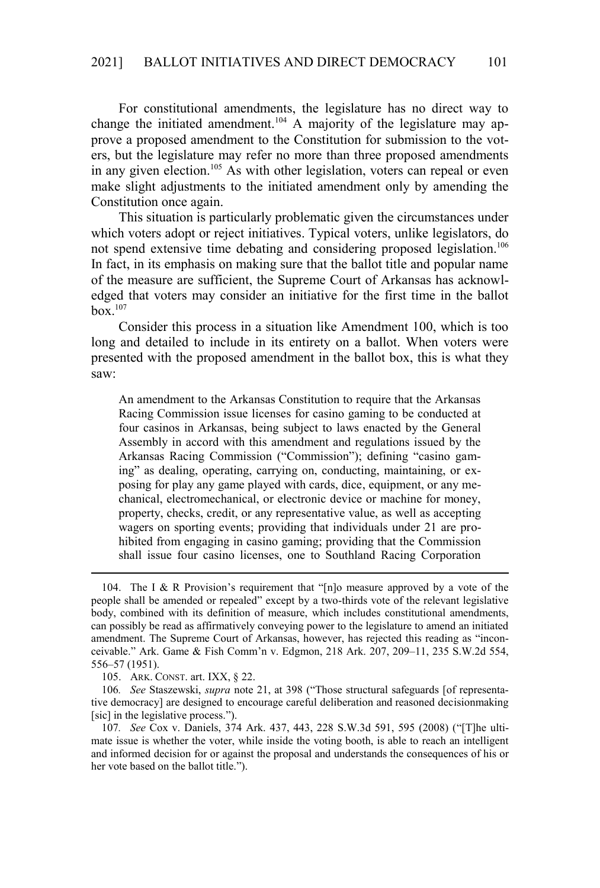For constitutional amendments, the legislature has no direct way to change the initiated amendment.<sup>104</sup> A majority of the legislature may approve a proposed amendment to the Constitution for submission to the voters, but the legislature may refer no more than three proposed amendments in any given election.<sup>105</sup> As with other legislation, voters can repeal or even make slight adjustments to the initiated amendment only by amending the Constitution once again.

This situation is particularly problematic given the circumstances under which voters adopt or reject initiatives. Typical voters, unlike legislators, do not spend extensive time debating and considering proposed legislation.<sup>106</sup> In fact, in its emphasis on making sure that the ballot title and popular name of the measure are sufficient, the Supreme Court of Arkansas has acknowledged that voters may consider an initiative for the first time in the ballot  $box$ <sup>107</sup>

Consider this process in a situation like Amendment 100, which is too long and detailed to include in its entirety on a ballot. When voters were presented with the proposed amendment in the ballot box, this is what they saw:

An amendment to the Arkansas Constitution to require that the Arkansas Racing Commission issue licenses for casino gaming to be conducted at four casinos in Arkansas, being subject to laws enacted by the General Assembly in accord with this amendment and regulations issued by the Arkansas Racing Commission ("Commission"); defining "casino gaming" as dealing, operating, carrying on, conducting, maintaining, or exposing for play any game played with cards, dice, equipment, or any mechanical, electromechanical, or electronic device or machine for money, property, checks, credit, or any representative value, as well as accepting wagers on sporting events; providing that individuals under 21 are prohibited from engaging in casino gaming; providing that the Commission shall issue four casino licenses, one to Southland Racing Corporation

<sup>104.</sup> The I & R Provision's requirement that "[n]o measure approved by a vote of the people shall be amended or repealed" except by a two-thirds vote of the relevant legislative body, combined with its definition of measure, which includes constitutional amendments, can possibly be read as affirmatively conveying power to the legislature to amend an initiated amendment. The Supreme Court of Arkansas, however, has rejected this reading as "inconceivable." Ark. Game & Fish Comm'n v. Edgmon, 218 Ark. 207, 209–11, 235 S.W.2d 554, 556–57 (1951).

<sup>105.</sup> ARK. CONST. art. IXX, § 22.

<sup>106</sup>*. See* Staszewski, *supra* note 21, at 398 ("Those structural safeguards [of representative democracy] are designed to encourage careful deliberation and reasoned decisionmaking [sic] in the legislative process.").

<sup>107</sup>*. See* Cox v. Daniels, 374 Ark. 437, 443, 228 S.W.3d 591, 595 (2008) ("[T]he ultimate issue is whether the voter, while inside the voting booth, is able to reach an intelligent and informed decision for or against the proposal and understands the consequences of his or her vote based on the ballot title.").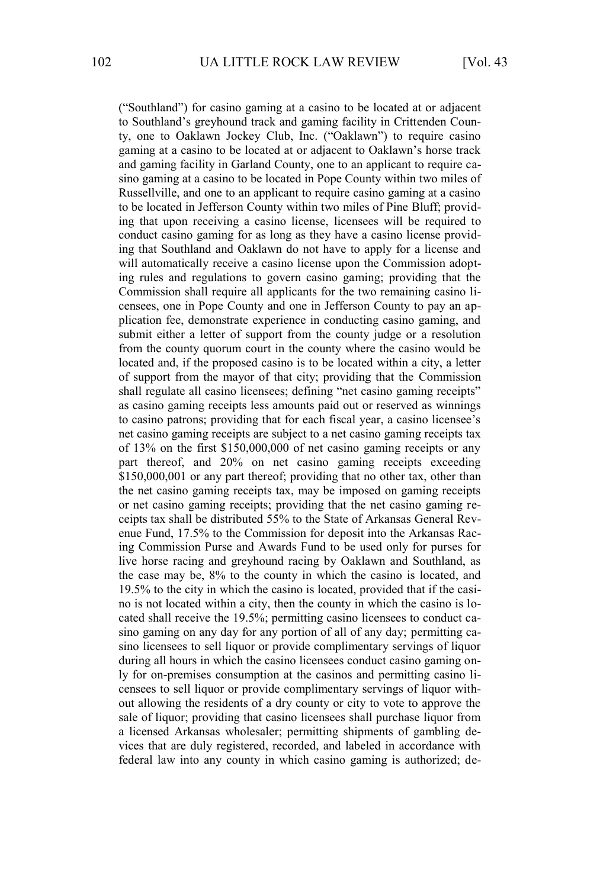("Southland") for casino gaming at a casino to be located at or adjacent to Southland's greyhound track and gaming facility in Crittenden County, one to Oaklawn Jockey Club, Inc. ("Oaklawn") to require casino gaming at a casino to be located at or adjacent to Oaklawn's horse track and gaming facility in Garland County, one to an applicant to require casino gaming at a casino to be located in Pope County within two miles of Russellville, and one to an applicant to require casino gaming at a casino to be located in Jefferson County within two miles of Pine Bluff; providing that upon receiving a casino license, licensees will be required to conduct casino gaming for as long as they have a casino license providing that Southland and Oaklawn do not have to apply for a license and will automatically receive a casino license upon the Commission adopting rules and regulations to govern casino gaming; providing that the Commission shall require all applicants for the two remaining casino licensees, one in Pope County and one in Jefferson County to pay an application fee, demonstrate experience in conducting casino gaming, and submit either a letter of support from the county judge or a resolution from the county quorum court in the county where the casino would be located and, if the proposed casino is to be located within a city, a letter of support from the mayor of that city; providing that the Commission shall regulate all casino licensees; defining "net casino gaming receipts" as casino gaming receipts less amounts paid out or reserved as winnings to casino patrons; providing that for each fiscal year, a casino licensee's net casino gaming receipts are subject to a net casino gaming receipts tax of 13% on the first \$150,000,000 of net casino gaming receipts or any part thereof, and 20% on net casino gaming receipts exceeding \$150,000,001 or any part thereof; providing that no other tax, other than the net casino gaming receipts tax, may be imposed on gaming receipts or net casino gaming receipts; providing that the net casino gaming receipts tax shall be distributed 55% to the State of Arkansas General Revenue Fund, 17.5% to the Commission for deposit into the Arkansas Racing Commission Purse and Awards Fund to be used only for purses for live horse racing and greyhound racing by Oaklawn and Southland, as the case may be, 8% to the county in which the casino is located, and 19.5% to the city in which the casino is located, provided that if the casino is not located within a city, then the county in which the casino is located shall receive the 19.5%; permitting casino licensees to conduct casino gaming on any day for any portion of all of any day; permitting casino licensees to sell liquor or provide complimentary servings of liquor during all hours in which the casino licensees conduct casino gaming only for on-premises consumption at the casinos and permitting casino licensees to sell liquor or provide complimentary servings of liquor without allowing the residents of a dry county or city to vote to approve the sale of liquor; providing that casino licensees shall purchase liquor from a licensed Arkansas wholesaler; permitting shipments of gambling devices that are duly registered, recorded, and labeled in accordance with federal law into any county in which casino gaming is authorized; de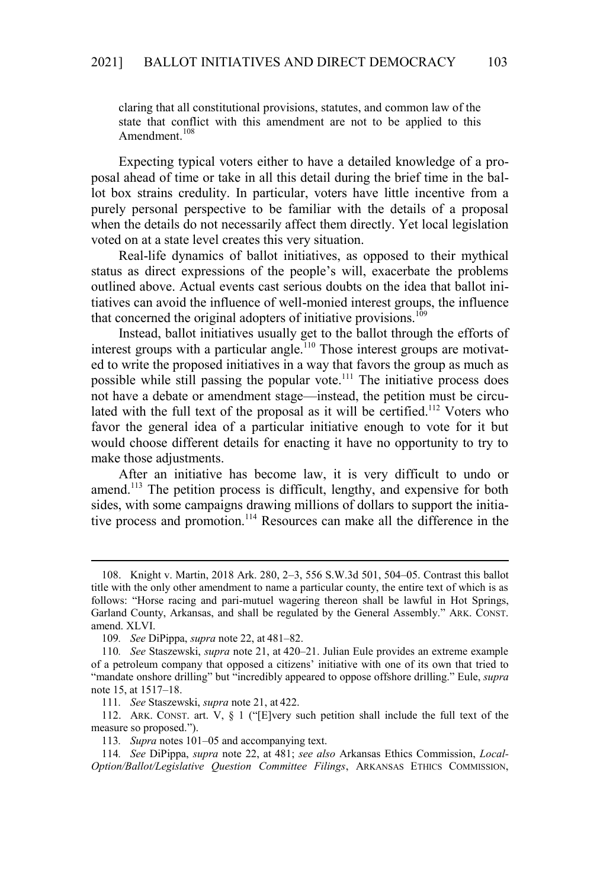claring that all constitutional provisions, statutes, and common law of the state that conflict with this amendment are not to be applied to this Amendment.<sup>108</sup>

Expecting typical voters either to have a detailed knowledge of a proposal ahead of time or take in all this detail during the brief time in the ballot box strains credulity. In particular, voters have little incentive from a purely personal perspective to be familiar with the details of a proposal when the details do not necessarily affect them directly. Yet local legislation voted on at a state level creates this very situation.

Real-life dynamics of ballot initiatives, as opposed to their mythical status as direct expressions of the people's will, exacerbate the problems outlined above. Actual events cast serious doubts on the idea that ballot initiatives can avoid the influence of well-monied interest groups, the influence that concerned the original adopters of initiative provisions.<sup>109</sup>

Instead, ballot initiatives usually get to the ballot through the efforts of interest groups with a particular angle.<sup>110</sup> Those interest groups are motivated to write the proposed initiatives in a way that favors the group as much as possible while still passing the popular vote.<sup>111</sup> The initiative process does not have a debate or amendment stage—instead, the petition must be circulated with the full text of the proposal as it will be certified.<sup>112</sup> Voters who favor the general idea of a particular initiative enough to vote for it but would choose different details for enacting it have no opportunity to try to make those adjustments.

After an initiative has become law, it is very difficult to undo or amend.<sup>113</sup> The petition process is difficult, lengthy, and expensive for both sides, with some campaigns drawing millions of dollars to support the initiative process and promotion.<sup>114</sup> Resources can make all the difference in the

111*. See* Staszewski, *supra* note 21, at 422.

<sup>108.</sup> Knight v. Martin, 2018 Ark. 280, 2–3, 556 S.W.3d 501, 504–05. Contrast this ballot title with the only other amendment to name a particular county, the entire text of which is as follows: "Horse racing and pari-mutuel wagering thereon shall be lawful in Hot Springs, Garland County, Arkansas, and shall be regulated by the General Assembly." ARK. CONST. amend. XLVI.

<sup>109</sup>*. See* DiPippa, *supra* note 22, at 481–82.

<sup>110</sup>*. See* Staszewski, *supra* note 21, at 420–21. Julian Eule provides an extreme example of a petroleum company that opposed a citizens' initiative with one of its own that tried to "mandate onshore drilling" but "incredibly appeared to oppose offshore drilling." Eule, *supra* note 15, at 1517–18.

<sup>112.</sup> ARK. CONST. art. V, § 1 ("[E]very such petition shall include the full text of the measure so proposed.").

<sup>113</sup>*. Supra* notes 101–05 and accompanying text.

<sup>114</sup>*. See* DiPippa, *supra* note 22, at 481; *see also* Arkansas Ethics Commission, *Local-Option/Ballot/Legislative Question Committee Filings*, ARKANSAS ETHICS COMMISSION,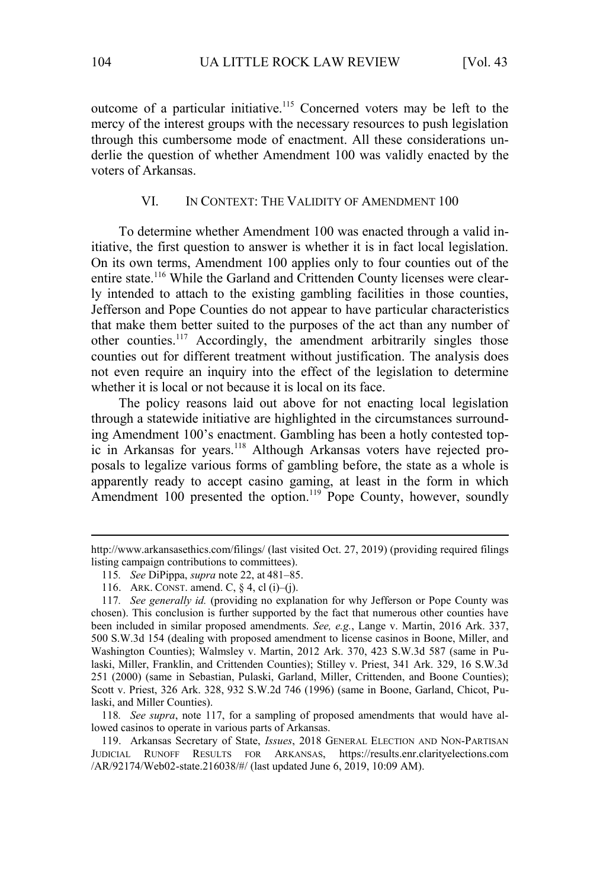outcome of a particular initiative.<sup>115</sup> Concerned voters may be left to the mercy of the interest groups with the necessary resources to push legislation through this cumbersome mode of enactment. All these considerations underlie the question of whether Amendment 100 was validly enacted by the voters of Arkansas.

## VI. IN CONTEXT: THE VALIDITY OF AMENDMENT 100

To determine whether Amendment 100 was enacted through a valid initiative, the first question to answer is whether it is in fact local legislation. On its own terms, Amendment 100 applies only to four counties out of the entire state.<sup>116</sup> While the Garland and Crittenden County licenses were clearly intended to attach to the existing gambling facilities in those counties, Jefferson and Pope Counties do not appear to have particular characteristics that make them better suited to the purposes of the act than any number of other counties.<sup>117</sup> Accordingly, the amendment arbitrarily singles those counties out for different treatment without justification. The analysis does not even require an inquiry into the effect of the legislation to determine whether it is local or not because it is local on its face.

The policy reasons laid out above for not enacting local legislation through a statewide initiative are highlighted in the circumstances surrounding Amendment 100's enactment. Gambling has been a hotly contested topic in Arkansas for years.118 Although Arkansas voters have rejected proposals to legalize various forms of gambling before, the state as a whole is apparently ready to accept casino gaming, at least in the form in which Amendment 100 presented the option.<sup>119</sup> Pope County, however, soundly

118*. See supra*, note 117, for a sampling of proposed amendments that would have allowed casinos to operate in various parts of Arkansas.

http://www.arkansasethics.com/filings/ (last visited Oct. 27, 2019) (providing required filings listing campaign contributions to committees).

<sup>115</sup>*. See* DiPippa, *supra* note 22, at 481–85.

<sup>116.</sup> ARK. CONST. amend. C, § 4, cl (i)–(j).

<sup>117</sup>*. See generally id.* (providing no explanation for why Jefferson or Pope County was chosen). This conclusion is further supported by the fact that numerous other counties have been included in similar proposed amendments. *See, e.g.*, Lange v. Martin, 2016 Ark. 337, 500 S.W.3d 154 (dealing with proposed amendment to license casinos in Boone, Miller, and Washington Counties); Walmsley v. Martin, 2012 Ark. 370, 423 S.W.3d 587 (same in Pulaski, Miller, Franklin, and Crittenden Counties); Stilley v. Priest, 341 Ark. 329, 16 S.W.3d 251 (2000) (same in Sebastian, Pulaski, Garland, Miller, Crittenden, and Boone Counties); Scott v. Priest, 326 Ark. 328, 932 S.W.2d 746 (1996) (same in Boone, Garland, Chicot, Pulaski, and Miller Counties).

<sup>119.</sup> Arkansas Secretary of State, *Issues*, 2018 GENERAL ELECTION AND NON-PARTISAN JUDICIAL RUNOFF RESULTS FOR ARKANSAS, https://results.enr.clarityelections.com /AR/92174/Web02-state.216038/#/ (last updated June 6, 2019, 10:09 AM).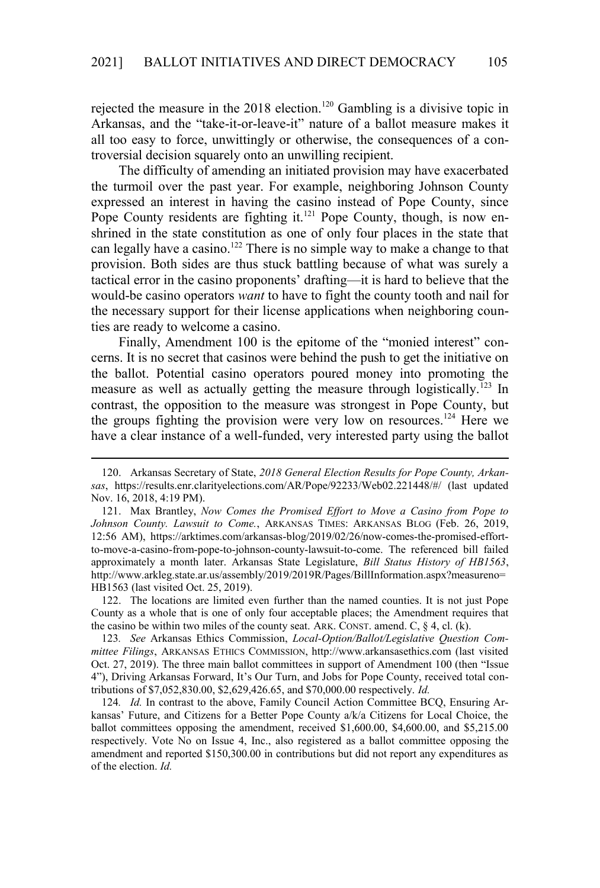rejected the measure in the  $2018$  election.<sup>120</sup> Gambling is a divisive topic in Arkansas, and the "take-it-or-leave-it" nature of a ballot measure makes it all too easy to force, unwittingly or otherwise, the consequences of a controversial decision squarely onto an unwilling recipient.

The difficulty of amending an initiated provision may have exacerbated the turmoil over the past year. For example, neighboring Johnson County expressed an interest in having the casino instead of Pope County, since Pope County residents are fighting it.<sup>121</sup> Pope County, though, is now enshrined in the state constitution as one of only four places in the state that can legally have a casino.<sup>122</sup> There is no simple way to make a change to that provision. Both sides are thus stuck battling because of what was surely a tactical error in the casino proponents' drafting—it is hard to believe that the would-be casino operators *want* to have to fight the county tooth and nail for the necessary support for their license applications when neighboring counties are ready to welcome a casino.

Finally, Amendment 100 is the epitome of the "monied interest" concerns. It is no secret that casinos were behind the push to get the initiative on the ballot. Potential casino operators poured money into promoting the measure as well as actually getting the measure through logistically.<sup>123</sup> In contrast, the opposition to the measure was strongest in Pope County, but the groups fighting the provision were very low on resources.<sup>124</sup> Here we have a clear instance of a well-funded, very interested party using the ballot

123*. See* Arkansas Ethics Commission, *Local-Option/Ballot/Legislative Question Committee Filings*, ARKANSAS ETHICS COMMISSION, http://www.arkansasethics.com (last visited Oct. 27, 2019). The three main ballot committees in support of Amendment 100 (then "Issue 4"), Driving Arkansas Forward, It's Our Turn, and Jobs for Pope County, received total contributions of \$7,052,830.00, \$2,629,426.65, and \$70,000.00 respectively. *Id.* 

124*. Id.* In contrast to the above, Family Council Action Committee BCQ, Ensuring Arkansas' Future, and Citizens for a Better Pope County a/k/a Citizens for Local Choice, the ballot committees opposing the amendment, received \$1,600.00, \$4,600.00, and \$5,215.00 respectively. Vote No on Issue 4, Inc., also registered as a ballot committee opposing the amendment and reported \$150,300.00 in contributions but did not report any expenditures as of the election. *Id.*

<sup>120.</sup> Arkansas Secretary of State, *2018 General Election Results for Pope County, Arkansas*, https://results.enr.clarityelections.com/AR/Pope/92233/Web02.221448/#/ (last updated Nov. 16, 2018, 4:19 PM).

<sup>121.</sup> Max Brantley, *Now Comes the Promised Effort to Move a Casino from Pope to Johnson County. Lawsuit to Come.*, ARKANSAS TIMES: ARKANSAS BLOG (Feb. 26, 2019, 12:56 AM), https://arktimes.com/arkansas-blog/2019/02/26/now-comes-the-promised-effortto-move-a-casino-from-pope-to-johnson-county-lawsuit-to-come. The referenced bill failed approximately a month later. Arkansas State Legislature, *Bill Status History of HB1563*, http://www.arkleg.state.ar.us/assembly/2019/2019R/Pages/BillInformation.aspx?measureno= HB1563 (last visited Oct. 25, 2019).

<sup>122.</sup> The locations are limited even further than the named counties. It is not just Pope County as a whole that is one of only four acceptable places; the Amendment requires that the casino be within two miles of the county seat. ARK. CONST. amend.  $C$ ,  $\S$  4, cl. (k).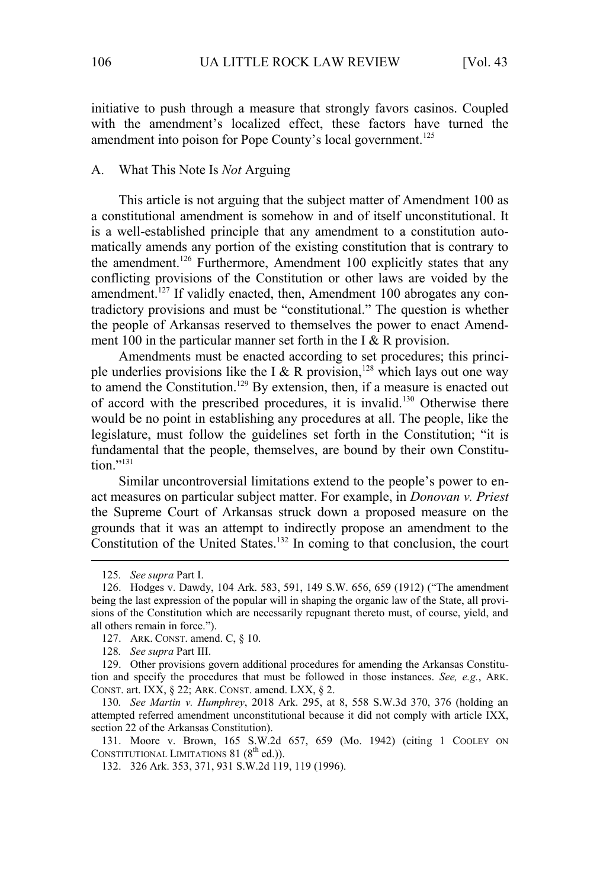initiative to push through a measure that strongly favors casinos. Coupled with the amendment's localized effect, these factors have turned the amendment into poison for Pope County's local government.<sup>125</sup>

## A. What This Note Is *Not* Arguing

This article is not arguing that the subject matter of Amendment 100 as a constitutional amendment is somehow in and of itself unconstitutional. It is a well-established principle that any amendment to a constitution automatically amends any portion of the existing constitution that is contrary to the amendment.<sup>126</sup> Furthermore, Amendment 100 explicitly states that any conflicting provisions of the Constitution or other laws are voided by the amendment.<sup>127</sup> If validly enacted, then, Amendment 100 abrogates any contradictory provisions and must be "constitutional." The question is whether the people of Arkansas reserved to themselves the power to enact Amendment 100 in the particular manner set forth in the I  $\&$  R provision.

Amendments must be enacted according to set procedures; this principle underlies provisions like the I & R provision,<sup>128</sup> which lays out one way to amend the Constitution.<sup>129</sup> By extension, then, if a measure is enacted out of accord with the prescribed procedures, it is invalid.<sup>130</sup> Otherwise there would be no point in establishing any procedures at all. The people, like the legislature, must follow the guidelines set forth in the Constitution; "it is fundamental that the people, themselves, are bound by their own Constitution."<sup>131</sup>

Similar uncontroversial limitations extend to the people's power to enact measures on particular subject matter. For example, in *Donovan v. Priest* the Supreme Court of Arkansas struck down a proposed measure on the grounds that it was an attempt to indirectly propose an amendment to the Constitution of the United States.<sup>132</sup> In coming to that conclusion, the court

128*. See supra* Part III.

<sup>125</sup>*. See supra* Part I.

<sup>126.</sup> Hodges v. Dawdy, 104 Ark. 583, 591, 149 S.W. 656, 659 (1912) ("The amendment being the last expression of the popular will in shaping the organic law of the State, all provisions of the Constitution which are necessarily repugnant thereto must, of course, yield, and all others remain in force.").

<sup>127.</sup> ARK. CONST. amend. C, § 10.

<sup>129.</sup> Other provisions govern additional procedures for amending the Arkansas Constitution and specify the procedures that must be followed in those instances. *See, e.g.*, ARK. CONST. art. IXX, § 22; ARK. CONST. amend. LXX, § 2.

<sup>130</sup>*. See Martin v. Humphrey*, 2018 Ark. 295, at 8, 558 S.W.3d 370, 376 (holding an attempted referred amendment unconstitutional because it did not comply with article IXX, section 22 of the Arkansas Constitution).

<sup>131.</sup> Moore v. Brown, 165 S.W.2d 657, 659 (Mo. 1942) (citing 1 COOLEY ON CONSTITUTIONAL LIMITATIONS 81 (8<sup>th</sup> ed.)).

<sup>132. 326</sup> Ark. 353, 371, 931 S.W.2d 119, 119 (1996).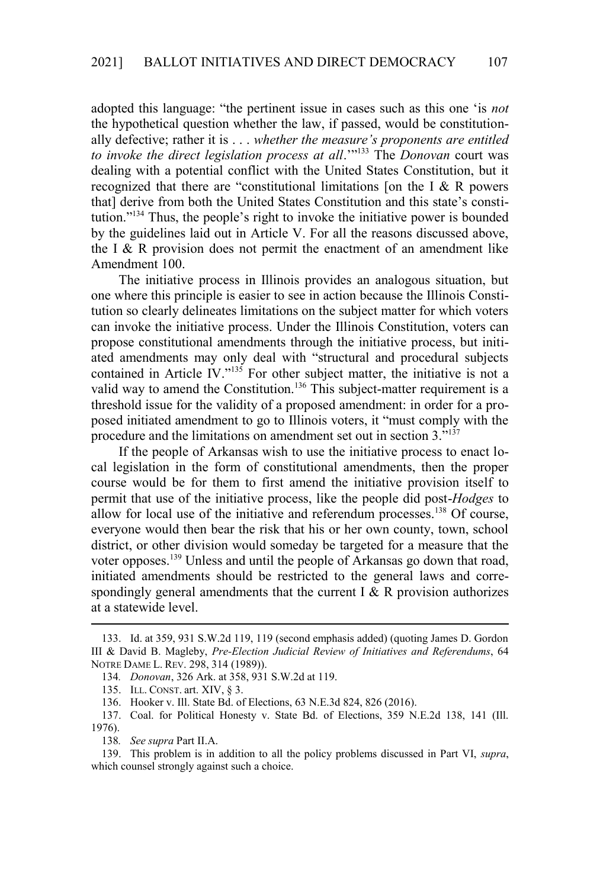adopted this language: "the pertinent issue in cases such as this one 'is *not* the hypothetical question whether the law, if passed, would be constitutionally defective; rather it is . . . *whether the measure's proponents are entitled to invoke the direct legislation process at all*.'"<sup>133</sup> The *Donovan* court was dealing with a potential conflict with the United States Constitution, but it recognized that there are "constitutional limitations [on the I & R powers that] derive from both the United States Constitution and this state's constitution."<sup>134</sup> Thus, the people's right to invoke the initiative power is bounded by the guidelines laid out in Article V. For all the reasons discussed above, the I  $\&$  R provision does not permit the enactment of an amendment like Amendment 100.

The initiative process in Illinois provides an analogous situation, but one where this principle is easier to see in action because the Illinois Constitution so clearly delineates limitations on the subject matter for which voters can invoke the initiative process. Under the Illinois Constitution, voters can propose constitutional amendments through the initiative process, but initiated amendments may only deal with "structural and procedural subjects contained in Article IV."<sup>135</sup> For other subject matter, the initiative is not a valid way to amend the Constitution.<sup>136</sup> This subject-matter requirement is a threshold issue for the validity of a proposed amendment: in order for a proposed initiated amendment to go to Illinois voters, it "must comply with the procedure and the limitations on amendment set out in section 3."<sup>137</sup>

If the people of Arkansas wish to use the initiative process to enact local legislation in the form of constitutional amendments, then the proper course would be for them to first amend the initiative provision itself to permit that use of the initiative process, like the people did post-*Hodges* to allow for local use of the initiative and referendum processes.<sup>138</sup> Of course, everyone would then bear the risk that his or her own county, town, school district, or other division would someday be targeted for a measure that the voter opposes.<sup>139</sup> Unless and until the people of Arkansas go down that road, initiated amendments should be restricted to the general laws and correspondingly general amendments that the current  $I & R$  provision authorizes at a statewide level.

<sup>133.</sup> Id. at 359, 931 S.W.2d 119, 119 (second emphasis added) (quoting James D. Gordon III & David B. Magleby, *Pre-Election Judicial Review of Initiatives and Referendums*, 64 NOTRE DAME L. REV. 298, 314 (1989)).

<sup>134</sup>*. Donovan*, 326 Ark. at 358, 931 S.W.2d at 119.

<sup>135.</sup> ILL. CONST. art. XIV, § 3.

<sup>136.</sup> Hooker v. Ill. State Bd. of Elections, 63 N.E.3d 824, 826 (2016).

<sup>137.</sup> Coal. for Political Honesty v. State Bd. of Elections, 359 N.E.2d 138, 141 (Ill. 1976).

<sup>138</sup>*. See supra* Part II.A.

<sup>139.</sup> This problem is in addition to all the policy problems discussed in Part VI, *supra*, which counsel strongly against such a choice.